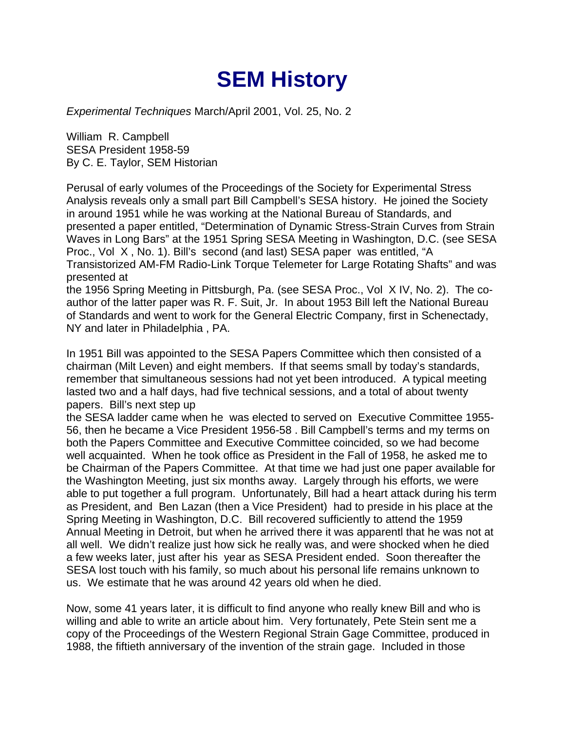## **SEM History**

*Experimental Techniques* March/April 2001, Vol. 25, No. 2

William R. Campbell SESA President 1958-59 By C. E. Taylor, SEM Historian

Perusal of early volumes of the Proceedings of the Society for Experimental Stress Analysis reveals only a small part Bill Campbell's SESA history. He joined the Society in around 1951 while he was working at the National Bureau of Standards, and presented a paper entitled, "Determination of Dynamic Stress-Strain Curves from Strain Waves in Long Bars" at the 1951 Spring SESA Meeting in Washington, D.C. (see SESA Proc., Vol X , No. 1). Bill's second (and last) SESA paper was entitled, "A Transistorized AM-FM Radio-Link Torque Telemeter for Large Rotating Shafts" and was presented at

the 1956 Spring Meeting in Pittsburgh, Pa. (see SESA Proc., Vol X IV, No. 2). The coauthor of the latter paper was R. F. Suit, Jr. In about 1953 Bill left the National Bureau of Standards and went to work for the General Electric Company, first in Schenectady, NY and later in Philadelphia , PA.

In 1951 Bill was appointed to the SESA Papers Committee which then consisted of a chairman (Milt Leven) and eight members. If that seems small by today's standards, remember that simultaneous sessions had not yet been introduced. A typical meeting lasted two and a half days, had five technical sessions, and a total of about twenty papers. Bill's next step up

the SESA ladder came when he was elected to served on Executive Committee 1955- 56, then he became a Vice President 1956-58 . Bill Campbell's terms and my terms on both the Papers Committee and Executive Committee coincided, so we had become well acquainted. When he took office as President in the Fall of 1958, he asked me to be Chairman of the Papers Committee. At that time we had just one paper available for the Washington Meeting, just six months away. Largely through his efforts, we were able to put together a full program. Unfortunately, Bill had a heart attack during his term as President, and Ben Lazan (then a Vice President) had to preside in his place at the Spring Meeting in Washington, D.C. Bill recovered sufficiently to attend the 1959 Annual Meeting in Detroit, but when he arrived there it was apparentl that he was not at all well. We didn't realize just how sick he really was, and were shocked when he died a few weeks later, just after his year as SESA President ended. Soon thereafter the SESA lost touch with his family, so much about his personal life remains unknown to us. We estimate that he was around 42 years old when he died.

Now, some 41 years later, it is difficult to find anyone who really knew Bill and who is willing and able to write an article about him. Very fortunately, Pete Stein sent me a copy of the Proceedings of the Western Regional Strain Gage Committee, produced in 1988, the fiftieth anniversary of the invention of the strain gage. Included in those